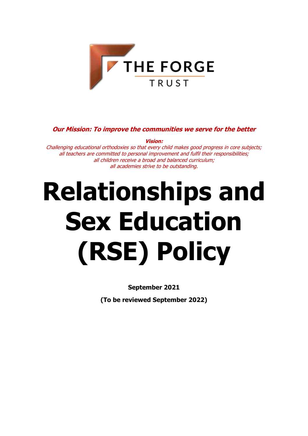

# **Our Mission: To improve the communities we serve for the better**

**Vision:** Challenging educational orthodoxies so that every child makes good progress in core subjects; all teachers are committed to personal improvement and fulfil their responsibilities; all children receive a broad and balanced curriculum; all academies strive to be outstanding.

# **Relationships and Sex Education (RSE) Policy**

**September 2021**

**(To be reviewed September 2022)**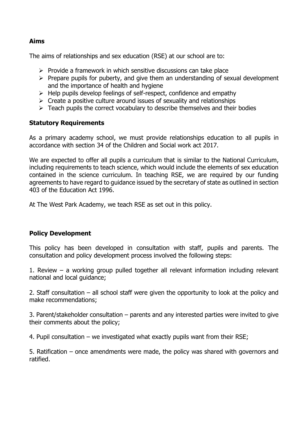#### **Aims**

The aims of relationships and sex education (RSE) at our school are to:

- $\triangleright$  Provide a framework in which sensitive discussions can take place
- $\triangleright$  Prepare pupils for puberty, and give them an understanding of sexual development and the importance of health and hygiene
- $\triangleright$  Help pupils develop feelings of self-respect, confidence and empathy
- $\triangleright$  Create a positive culture around issues of sexuality and relationships
- $\triangleright$  Teach pupils the correct vocabulary to describe themselves and their bodies

# **Statutory Requirements**

As a primary academy school, we must provide relationships education to all pupils in accordance with section 34 of the Children and Social work act 2017.

We are expected to offer all pupils a curriculum that is similar to the National Curriculum, including requirements to teach science, which would include the elements of sex education contained in the science curriculum. In teaching RSE, we are required by our funding agreements to have regard to guidance issued by the secretary of state as outlined in section 403 of the Education Act 1996.

At The West Park Academy, we teach RSE as set out in this policy.

# **Policy Development**

This policy has been developed in consultation with staff, pupils and parents. The consultation and policy development process involved the following steps:

1. Review – a working group pulled together all relevant information including relevant national and local guidance;

2. Staff consultation – all school staff were given the opportunity to look at the policy and make recommendations;

3. Parent/stakeholder consultation – parents and any interested parties were invited to give their comments about the policy;

4. Pupil consultation – we investigated what exactly pupils want from their RSE;

5. Ratification – once amendments were made, the policy was shared with governors and ratified.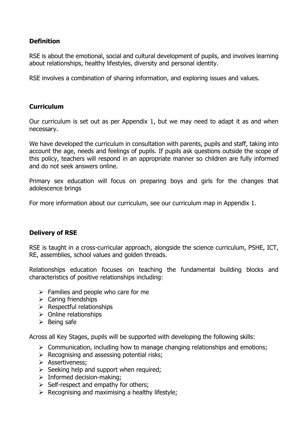# **Definition**

RSE is about the emotional, social and cultural development of pupils, and involves learning about relationships, healthy lifestyles, diversity and personal identity.

RSE involves a combination of sharing information, and exploring issues and values.

### **Curriculum**

Our curriculum is set out as per Appendix 1, but we may need to adapt it as and when necessary.

We have developed the curriculum in consultation with parents, pupils and staff, taking into account the age, needs and feelings of pupils. If pupils ask questions outside the scope of this policy, teachers will respond in an appropriate manner so children are fully informed and do not seek answers online.

Primary sex education will focus on preparing boys and girls for the changes that adolescence brings

For more information about our curriculum, see our curriculum map in Appendix 1.

#### **Delivery of RSE**

RSE is taught in a cross-curricular approach, alongside the science curriculum, PSHE, ICT, RE, assemblies, school values and golden threads.

Relationships education focuses on teaching the fundamental building blocks and characteristics of positive relationships including:

- $\triangleright$  Families and people who care for me
- $\triangleright$  Caring friendships
- $\triangleright$  Respectful relationships
- $\triangleright$  Online relationships
- $\triangleright$  Being safe

Across all Key Stages, pupils will be supported with developing the following skills:

- $\triangleright$  Communication, including how to manage changing relationships and emotions;
- $\triangleright$  Recognising and assessing potential risks;
- > Assertiveness;
- $\triangleright$  Seeking help and support when required;
- $\triangleright$  Informed decision-making;
- $\triangleright$  Self-respect and empathy for others;
- $\triangleright$  Recognising and maximising a healthy lifestyle;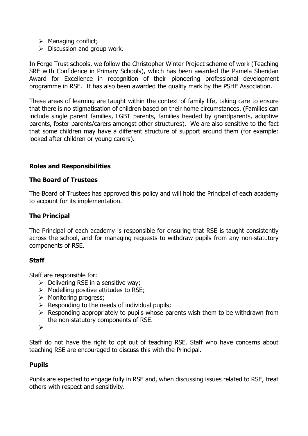- $\triangleright$  Managing conflict;
- $\triangleright$  Discussion and group work.

In Forge Trust schools, we follow the Christopher Winter Project scheme of work (Teaching SRE with Confidence in Primary Schools), which has been awarded the Pamela Sheridan Award for Excellence in recognition of their pioneering professional development programme in RSE. It has also been awarded the quality mark by the PSHE Association.

These areas of learning are taught within the context of family life, taking care to ensure that there is no stigmatisation of children based on their home circumstances. (Families can include single parent families, LGBT parents, families headed by grandparents, adoptive parents, foster parents/carers amongst other structures). We are also sensitive to the fact that some children may have a different structure of support around them (for example: looked after children or young carers).

# **Roles and Responsibilities**

#### **The Board of Trustees**

The Board of Trustees has approved this policy and will hold the Principal of each academy to account for its implementation.

### **The Principal**

The Principal of each academy is responsible for ensuring that RSE is taught consistently across the school, and for managing requests to withdraw pupils from any non-statutory components of RSE.

#### **Staff**

Staff are responsible for:

- $\triangleright$  Delivering RSE in a sensitive way;
- $\triangleright$  Modelling positive attitudes to RSE;
- $\triangleright$  Monitoring progress;
- $\triangleright$  Responding to the needs of individual pupils;
- $\triangleright$  Responding appropriately to pupils whose parents wish them to be withdrawn from the non-statutory components of RSE.
- $\blacktriangleright$

Staff do not have the right to opt out of teaching RSE. Staff who have concerns about teaching RSE are encouraged to discuss this with the Principal.

#### **Pupils**

Pupils are expected to engage fully in RSE and, when discussing issues related to RSE, treat others with respect and sensitivity.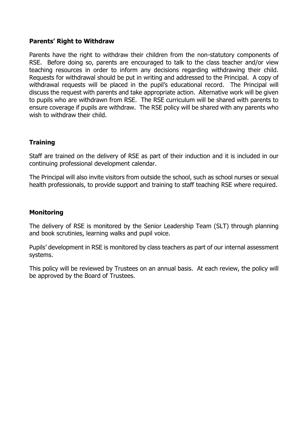#### **Parents' Right to Withdraw**

Parents have the right to withdraw their children from the non-statutory components of RSE. Before doing so, parents are encouraged to talk to the class teacher and/or view teaching resources in order to inform any decisions regarding withdrawing their child. Requests for withdrawal should be put in writing and addressed to the Principal. A copy of withdrawal requests will be placed in the pupil's educational record. The Principal will discuss the request with parents and take appropriate action. Alternative work will be given to pupils who are withdrawn from RSE. The RSE curriculum will be shared with parents to ensure coverage if pupils are withdraw. The RSE policy will be shared with any parents who wish to withdraw their child.

# **Training**

Staff are trained on the delivery of RSE as part of their induction and it is included in our continuing professional development calendar.

The Principal will also invite visitors from outside the school, such as school nurses or sexual health professionals, to provide support and training to staff teaching RSE where required.

#### **Monitoring**

The delivery of RSE is monitored by the Senior Leadership Team (SLT) through planning and book scrutinies, learning walks and pupil voice.

Pupils' development in RSE is monitored by class teachers as part of our internal assessment systems.

This policy will be reviewed by Trustees on an annual basis. At each review, the policy will be approved by the Board of Trustees.